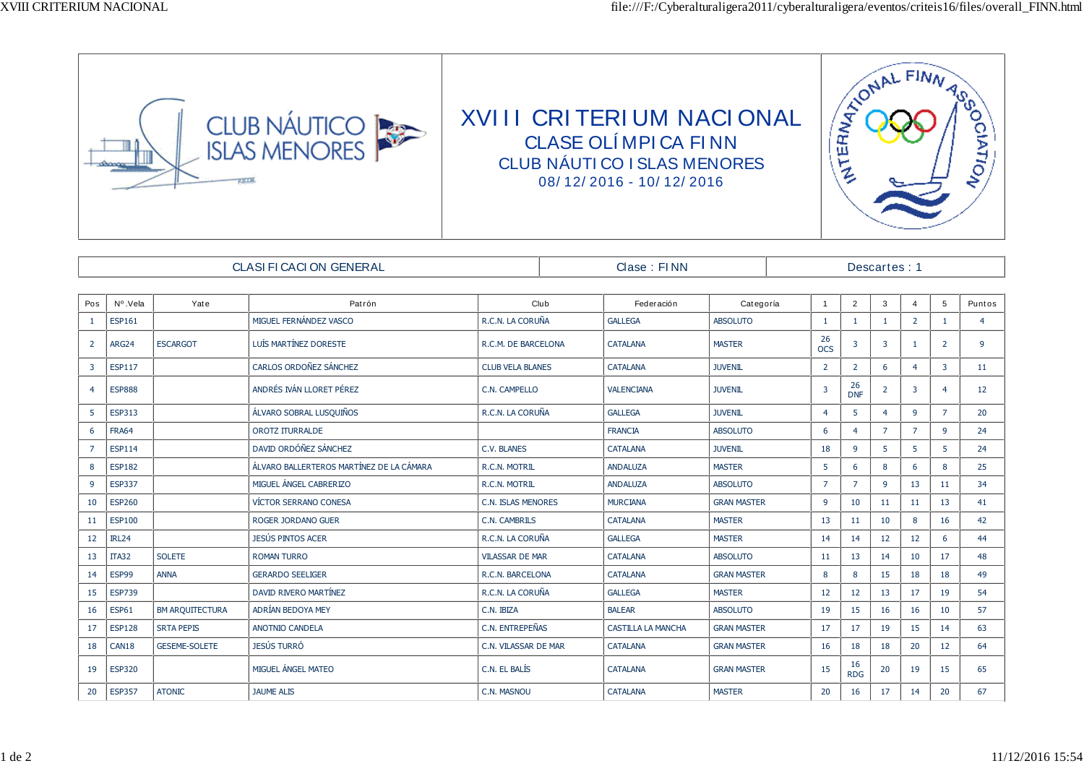

| CLASI FI CACI ON GENERAL |               |                      |                                          |                           | Clase : FINN |                           |                    |  | Descartes: 1     |                  |                |                |                |                |
|--------------------------|---------------|----------------------|------------------------------------------|---------------------------|--------------|---------------------------|--------------------|--|------------------|------------------|----------------|----------------|----------------|----------------|
|                          |               |                      |                                          |                           |              |                           |                    |  |                  |                  |                |                |                |                |
| Pos                      | Nº.Vela       | Yate                 | Patrón                                   | Club                      |              | Federación                | Categoría          |  | $\overline{1}$   | $\overline{2}$   | 3              | $\overline{4}$ | 5              | Puntos         |
| $\mathbf{1}$             | <b>ESP161</b> |                      | MIGUEL FERNÁNDEZ VASCO                   | R.C.N. LA CORUÑA          |              | <b>GALLEGA</b>            | <b>ABSOLUTO</b>    |  | $\mathbf{1}$     | $\mathbf{1}$     | -1             | $\overline{2}$ | $\mathbf{1}$   | $\overline{4}$ |
| $\overline{2}$           | ARG24         | <b>ESCARGOT</b>      | LUÍS MARTÍNEZ DORESTE                    | R.C.M. DE BARCELONA       |              | <b>CATALANA</b>           | <b>MASTER</b>      |  | 26<br><b>OCS</b> | 3                | $\overline{3}$ | -1             | $\overline{2}$ | 9              |
| $\overline{3}$           | <b>ESP117</b> |                      | CARLOS ORDOÑEZ SÁNCHEZ                   | <b>CLUB VELA BLANES</b>   |              | <b>CATALANA</b>           | <b>JUVENIL</b>     |  | $\overline{2}$   | $\overline{2}$   | 6              | $\overline{4}$ | 3 <sup>1</sup> | 11             |
| $\overline{4}$           | <b>ESP888</b> |                      | ANDRÉS IVÁN LLORET PÉREZ                 | C.N. CAMPELLO             |              | <b>VALENCIANA</b>         | <b>JUVENIL</b>     |  | $\overline{3}$   | 26<br><b>DNF</b> | $\overline{2}$ | 3              | $\overline{4}$ | 12             |
| 5                        | <b>ESP313</b> |                      | ÁLVARO SOBRAL LUSQUIÑOS                  | R.C.N. LA CORUÑA          |              | <b>GALLEGA</b>            | <b>JUVENIL</b>     |  | $\overline{4}$   |                  | $\overline{4}$ | 9              | $\overline{7}$ | 20             |
| 6                        | <b>FRA64</b>  |                      | <b>OROTZ ITURRALDE</b>                   |                           |              | <b>FRANCIA</b>            | <b>ABSOLUTO</b>    |  | 6                | $\overline{a}$   | $\overline{7}$ | $\overline{7}$ | 9              | 24             |
| $\overline{7}$           | <b>ESP114</b> |                      | DAVID ORDÓÑEZ SÁNCHEZ                    | <b>C.V. BLANES</b>        |              | <b>CATALANA</b>           | <b>JUVENIL</b>     |  | 18               | 9                | 5 <sup>1</sup> | 5              | 5              | 24             |
| 8                        | <b>ESP182</b> |                      | ÁLVARO BALLERTEROS MARTÍNEZ DE LA CÁMARA | R.C.N. MOTRIL             |              | <b>ANDALUZA</b>           | <b>MASTER</b>      |  | 5                | 6                | 8              | 6              | 8              | 25             |
| $\overline{9}$           | <b>ESP337</b> |                      | MIGUEL ÁNGEL CABRERIZO                   | R.C.N. MOTRIL             |              | <b>ANDALUZA</b>           | <b>ABSOLUTO</b>    |  | $\overline{7}$   | $\overline{7}$   | $\mathbf{g}$   | 13             | 11             | 34             |
| 10                       | <b>ESP260</b> |                      | <b>VÍCTOR SERRANO CONESA</b>             | <b>C.N. ISLAS MENORES</b> |              | <b>MURCIANA</b>           | <b>GRAN MASTER</b> |  | 9                | 10               | 11             | 11             | 13             | 41             |
| 11                       | <b>ESP100</b> |                      | ROGER JORDANO GUER                       | C.N. CAMBRILS             |              | <b>CATALANA</b>           | <b>MASTER</b>      |  | 13               | 11               | 10             | 8              | 16             | 42             |
| 12                       | IRL24         |                      | JESÚS PINTOS ACER                        | R.C.N. LA CORUÑA          |              | <b>GALLEGA</b>            | <b>MASTER</b>      |  | 14               | 14               | 12             | 12             | 6              | 44             |
| 13                       | <b>ITA32</b>  | <b>SOLETE</b>        | <b>ROMAN TURRO</b>                       | <b>VILASSAR DE MAR</b>    |              | <b>CATALANA</b>           | <b>ABSOLUTO</b>    |  | 11               | 13               | 14             | 10             | 17             | 48             |
| 14                       | ESP99         | <b>ANNA</b>          | <b>GERARDO SEELIGER</b>                  | R.C.N. BARCELONA          |              | <b>CATALANA</b>           | <b>GRAN MASTER</b> |  | 8                | 8                | 15             | 18             | 18             | 49             |
| 15                       | <b>ESP739</b> |                      | DAVID RIVERO MARTÍNEZ                    | R.C.N. LA CORUÑA          |              | <b>GALLEGA</b>            | <b>MASTER</b>      |  | 12               | 12               | 13             | 17             | 19             | 54             |
| 16                       | <b>ESP61</b>  | BM ARQUITECTURA      | ADRÍAN BEDOYA MEY                        | C.N. IBIZA                |              | <b>BALEAR</b>             | <b>ABSOLUTO</b>    |  | 19               | 15               | 16             | 16             | 10             | 57             |
| 17                       | <b>ESP128</b> | <b>SRTA PEPIS</b>    | <b>ANOTNIO CANDELA</b>                   | C.N. ENTREPEÑAS           |              | <b>CASTILLA LA MANCHA</b> | <b>GRAN MASTER</b> |  | 17               | 17               | 19             | 15             | 14             | 63             |
| 18                       | CAN18         | <b>GESEME-SOLETE</b> | <b>JESÚS TURRÓ</b>                       | C.N. VILASSAR DE MAR      |              | <b>CATALANA</b>           | <b>GRAN MASTER</b> |  | 16               | 18               | 18             | 20             | 12             | 64             |
| 19                       | <b>ESP320</b> |                      | MIGUEL ÁNGEL MATEO                       | C.N. EL BALÍS             |              | <b>CATALANA</b>           | <b>GRAN MASTER</b> |  | 15               | 16<br><b>RDG</b> | 20             | 19             | 15             | 65             |
| 20                       | <b>ESP357</b> | <b>ATONIC</b>        | <b>JAUME ALIS</b>                        | C.N. MASNOU               |              | <b>CATALANA</b>           | <b>MASTER</b>      |  | 20               | 16               | 17             | 14             | 20             | 67             |